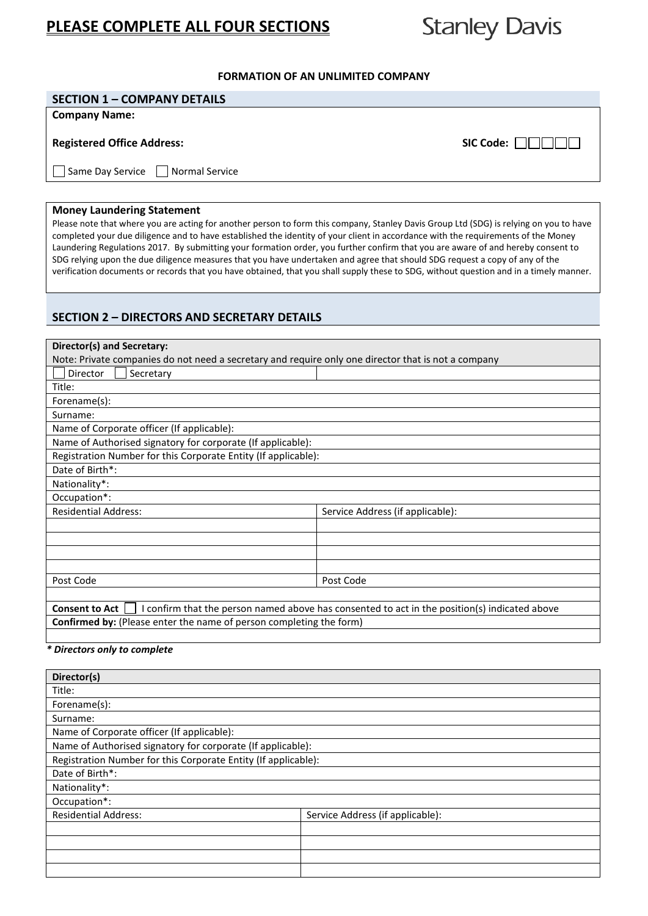# **PLEASE COMPLETE ALL FOUR SECTIONS**

# **Stanley Davis**

### **FORMATION OF AN UNLIMITED COMPANY**

# **SECTION 1 – COMPANY DETAILS**

#### **Company Name:**

## **Registered Office Address:** SIC Code:  $\Box$

 $\Box$  Same Day Service  $\Box$  Normal Service

#### **Money Laundering Statement**

Please note that where you are acting for another person to form this company, Stanley Davis Group Ltd (SDG) is relying on you to have completed your due diligence and to have established the identity of your client in accordance with the requirements of the Money Laundering Regulations 2017. By submitting your formation order, you further confirm that you are aware of and hereby consent to SDG relying upon the due diligence measures that you have undertaken and agree that should SDG request a copy of any of the verification documents or records that you have obtained, that you shall supply these to SDG, without question and in a timely manner.

# **SECTION 2 – DIRECTORS AND SECRETARY DETAILS**

| Director(s) and Secretary:                                                                          |                                                                                             |
|-----------------------------------------------------------------------------------------------------|---------------------------------------------------------------------------------------------|
| Note: Private companies do not need a secretary and require only one director that is not a company |                                                                                             |
| Secretary<br>Director                                                                               |                                                                                             |
| Title:                                                                                              |                                                                                             |
| Forename(s):                                                                                        |                                                                                             |
| Surname:                                                                                            |                                                                                             |
| Name of Corporate officer (If applicable):                                                          |                                                                                             |
| Name of Authorised signatory for corporate (If applicable):                                         |                                                                                             |
| Registration Number for this Corporate Entity (If applicable):                                      |                                                                                             |
| Date of Birth*:                                                                                     |                                                                                             |
| Nationality*:                                                                                       |                                                                                             |
| Occupation*:                                                                                        |                                                                                             |
| <b>Residential Address:</b>                                                                         | Service Address (if applicable):                                                            |
|                                                                                                     |                                                                                             |
|                                                                                                     |                                                                                             |
|                                                                                                     |                                                                                             |
|                                                                                                     |                                                                                             |
| Post Code                                                                                           | Post Code                                                                                   |
|                                                                                                     |                                                                                             |
| <b>Consent to Act</b>                                                                               | confirm that the person named above has consented to act in the position(s) indicated above |
|                                                                                                     |                                                                                             |

**Confirmed by:** (Please enter the name of person completing the form)

#### *\* Directors only to complete*

| Director(s)                                                    |                                  |  |
|----------------------------------------------------------------|----------------------------------|--|
| Title:                                                         |                                  |  |
| Forename(s):                                                   |                                  |  |
| Surname:                                                       |                                  |  |
| Name of Corporate officer (If applicable):                     |                                  |  |
| Name of Authorised signatory for corporate (If applicable):    |                                  |  |
| Registration Number for this Corporate Entity (If applicable): |                                  |  |
| Date of Birth*:                                                |                                  |  |
| Nationality*:                                                  |                                  |  |
| Occupation*:                                                   |                                  |  |
| <b>Residential Address:</b>                                    | Service Address (if applicable): |  |
|                                                                |                                  |  |
|                                                                |                                  |  |
|                                                                |                                  |  |
|                                                                |                                  |  |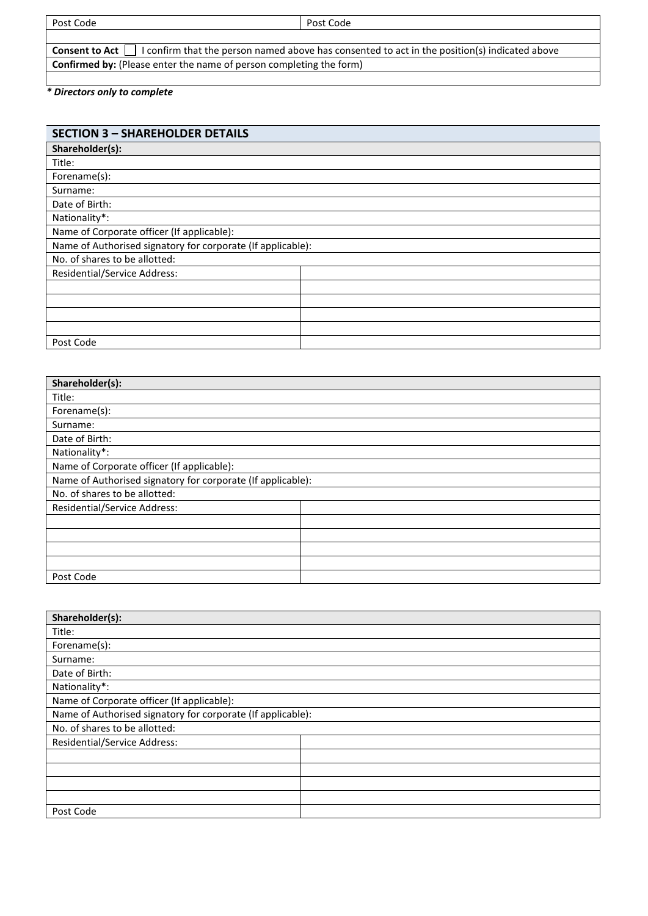Post Code

| <b>Consent to Act</b> $\Box$ I confirm that the person named above has consented to act in the position(s) indicated above |  |
|----------------------------------------------------------------------------------------------------------------------------|--|
| <b>Confirmed by:</b> (Please enter the name of person completing the form)                                                 |  |

# *\* Directors only to complete*

| <b>SECTION 3 - SHAREHOLDER DETAILS</b>                      |  |  |
|-------------------------------------------------------------|--|--|
| Shareholder(s):                                             |  |  |
| Title:                                                      |  |  |
| Forename(s):                                                |  |  |
| Surname:                                                    |  |  |
| Date of Birth:                                              |  |  |
| Nationality*:                                               |  |  |
| Name of Corporate officer (If applicable):                  |  |  |
| Name of Authorised signatory for corporate (If applicable): |  |  |
| No. of shares to be allotted:                               |  |  |
| Residential/Service Address:                                |  |  |
|                                                             |  |  |
|                                                             |  |  |
|                                                             |  |  |
|                                                             |  |  |
| Post Code                                                   |  |  |

| Shareholder(s):                                             |  |  |
|-------------------------------------------------------------|--|--|
| Title:                                                      |  |  |
| Forename(s):                                                |  |  |
| Surname:                                                    |  |  |
| Date of Birth:                                              |  |  |
| Nationality*:                                               |  |  |
| Name of Corporate officer (If applicable):                  |  |  |
| Name of Authorised signatory for corporate (If applicable): |  |  |
| No. of shares to be allotted:                               |  |  |
| <b>Residential/Service Address:</b>                         |  |  |
|                                                             |  |  |
|                                                             |  |  |
|                                                             |  |  |
|                                                             |  |  |
| Post Code                                                   |  |  |

| Shareholder(s):                                             |  |  |
|-------------------------------------------------------------|--|--|
| Title:                                                      |  |  |
| Forename(s):                                                |  |  |
| Surname:                                                    |  |  |
| Date of Birth:                                              |  |  |
| Nationality*:                                               |  |  |
| Name of Corporate officer (If applicable):                  |  |  |
| Name of Authorised signatory for corporate (If applicable): |  |  |
| No. of shares to be allotted:                               |  |  |
| <b>Residential/Service Address:</b>                         |  |  |
|                                                             |  |  |
|                                                             |  |  |
|                                                             |  |  |
|                                                             |  |  |
| Post Code                                                   |  |  |